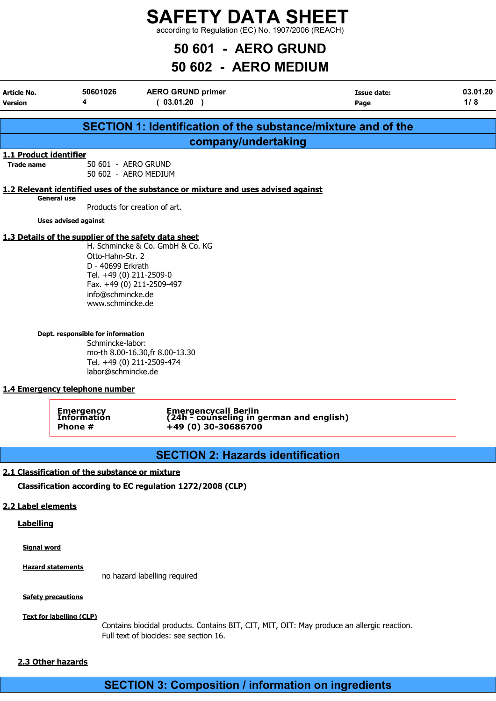according to Regulation (EC) No. 1907/2006 (REACH)

## 50 601 - AERO GRUND

## 50 602 - AERO MEDIUM

| Article No.<br><b>Version</b> | 50601026<br>4                                                                                                                                                                                                         | <b>AERO GRUND primer</b><br>(03.01.20)                                                                                                                   | <b>Issue date:</b><br>Page | 03.01.20<br>1/8 |
|-------------------------------|-----------------------------------------------------------------------------------------------------------------------------------------------------------------------------------------------------------------------|----------------------------------------------------------------------------------------------------------------------------------------------------------|----------------------------|-----------------|
|                               |                                                                                                                                                                                                                       | <b>SECTION 1: Identification of the substance/mixture and of the</b>                                                                                     |                            |                 |
|                               |                                                                                                                                                                                                                       | company/undertaking                                                                                                                                      |                            |                 |
| 1.1 Product identifier        |                                                                                                                                                                                                                       |                                                                                                                                                          |                            |                 |
| <b>Trade name</b>             | 50 601 - AERO GRUND                                                                                                                                                                                                   | 50 602 - AERO MEDIUM                                                                                                                                     |                            |                 |
|                               | <b>General use</b>                                                                                                                                                                                                    | 1.2 Relevant identified uses of the substance or mixture and uses advised against                                                                        |                            |                 |
|                               |                                                                                                                                                                                                                       | Products for creation of art.                                                                                                                            |                            |                 |
|                               | <b>Uses advised against</b>                                                                                                                                                                                           |                                                                                                                                                          |                            |                 |
|                               | 1.3 Details of the supplier of the safety data sheet<br>Otto-Hahn-Str. 2<br>D - 40699 Erkrath<br>info@schmincke.de<br>www.schmincke.de<br>Dept. responsible for information<br>Schmincke-labor:<br>labor@schmincke.de | H. Schmincke & Co. GmbH & Co. KG<br>Tel. +49 (0) 211-2509-0<br>Fax. +49 (0) 211-2509-497<br>mo-th 8.00-16.30, fr 8.00-13.30<br>Tel. +49 (0) 211-2509-474 |                            |                 |
|                               | 1.4 Emergency telephone number                                                                                                                                                                                        |                                                                                                                                                          |                            |                 |
|                               | Emergency<br>Information<br>Phone #                                                                                                                                                                                   | Emergencycall Berlin<br>(24h - counseling in german and english)<br>+49 (0) 30-30686700                                                                  |                            |                 |
|                               |                                                                                                                                                                                                                       | <b>SECTION 2: Hazards identification</b>                                                                                                                 |                            |                 |
|                               | 2.1 Classification of the substance or mixture                                                                                                                                                                        |                                                                                                                                                          |                            |                 |
|                               |                                                                                                                                                                                                                       | Classification according to EC regulation 1272/2008 (CLP)                                                                                                |                            |                 |
| 2.2 Label elements            |                                                                                                                                                                                                                       |                                                                                                                                                          |                            |                 |
| <b>Labelling</b>              |                                                                                                                                                                                                                       |                                                                                                                                                          |                            |                 |
|                               |                                                                                                                                                                                                                       |                                                                                                                                                          |                            |                 |
| <b>Signal word</b>            |                                                                                                                                                                                                                       |                                                                                                                                                          |                            |                 |
|                               | <b>Hazard statements</b>                                                                                                                                                                                              |                                                                                                                                                          |                            |                 |
|                               |                                                                                                                                                                                                                       | no hazard labelling required                                                                                                                             |                            |                 |

**Safety precautions** 

Text for labelling (CLP)

Contains biocidal products. Contains BIT, CIT, MIT, OIT: May produce an allergic reaction. Full text of biocides: see section 16.

### 2.3 Other hazards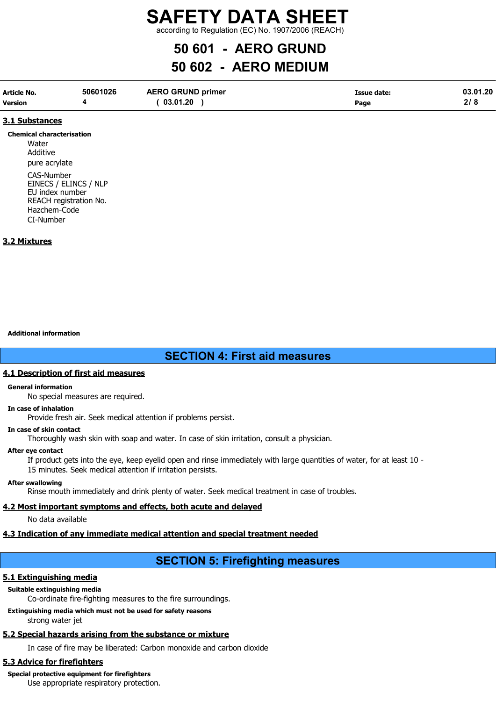according to Regulation (EC) No. 1907/2006 (REACH)

## 50 601 - AERO GRUND

## 50 602 - AERO MEDIUM

| Article No.    | 50601026 | <b>AERO GRUND primer</b> | Issue date: | 03.01.20 |
|----------------|----------|--------------------------|-------------|----------|
| <b>Version</b> |          | 03.01.20                 | Page        | $\sim$   |

### 3.1 Substances

#### Chemical characterisation

**Water** Additive pure acrylate

CAS-Number EINECS / ELINCS / NLP EU index number REACH registration No. Hazchem-Code CI-Number

### 3.2 Mixtures

Additional information

### SECTION 4: First aid measures

### 4.1 Description of first aid measures

### General information

No special measures are required.

### In case of inhalation

Provide fresh air. Seek medical attention if problems persist.

### In case of skin contact

Thoroughly wash skin with soap and water. In case of skin irritation, consult a physician.

### After eye contact

If product gets into the eye, keep eyelid open and rinse immediately with large quantities of water, for at least 10 - 15 minutes. Seek medical attention if irritation persists.

### After swallowing

Rinse mouth immediately and drink plenty of water. Seek medical treatment in case of troubles.

### 4.2 Most important symptoms and effects, both acute and delayed

No data available

### 4.3 Indication of any immediate medical attention and special treatment needed

## SECTION 5: Firefighting measures

### 5.1 Extinguishing media

### Suitable extinguishing media

Co-ordinate fire-fighting measures to the fire surroundings.

Extinguishing media which must not be used for safety reasons strong water jet

## 5.2 Special hazards arising from the substance or mixture

In case of fire may be liberated: Carbon monoxide and carbon dioxide

## 5.3 Advice for firefighters

## Special protective equipment for firefighters

Use appropriate respiratory protection.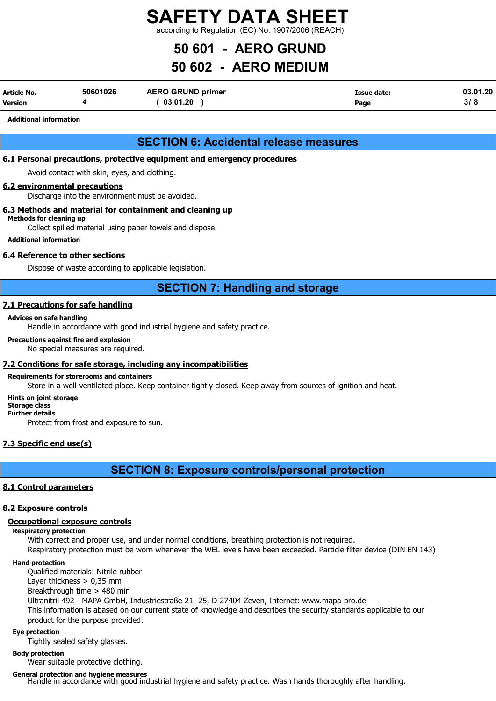according to Regulation (EC) No. 1907/2006 (REACH)

## 50 601 - AERO GRUND

## 50 602 - AERO MEDIUM

| Article No.    | 50601026 | <b>AERO GRUND primer</b> | Issue date: | 03.01.20 |
|----------------|----------|--------------------------|-------------|----------|
| <b>Version</b> |          | 03.01.20                 | Page        | 3/8      |

### Additional information

### SECTION 6: Accidental release measures

### 6.1 Personal precautions, protective equipment and emergency procedures

Avoid contact with skin, eyes, and clothing.

### 6.2 environmental precautions

Discharge into the environment must be avoided.

### 6.3 Methods and material for containment and cleaning up

Methods for cleaning up

Collect spilled material using paper towels and dispose.

### Additional information

### 6.4 Reference to other sections

Dispose of waste according to applicable legislation.

### SECTION 7: Handling and storage

### 7.1 Precautions for safe handling

### Advices on safe handling

Handle in accordance with good industrial hygiene and safety practice.

### Precautions against fire and explosion

No special measures are required.

### 7.2 Conditions for safe storage, including any incompatibilities

### Requirements for storerooms and containers

Store in a well-ventilated place. Keep container tightly closed. Keep away from sources of ignition and heat.

### Hints on joint storage

#### Storage class Further details

Protect from frost and exposure to sun.

### 7.3 Specific end use(s)

SECTION 8: Exposure controls/personal protection

### 8.1 Control parameters

### 8.2 Exposure controls

### Occupational exposure controls

### Respiratory protection

With correct and proper use, and under normal conditions, breathing protection is not required.

Respiratory protection must be worn whenever the WEL levels have been exceeded. Particle filter device (DIN EN 143)

### Hand protection

Qualified materials: Nitrile rubber Layer thickness  $> 0.35$  mm Breakthrough time > 480 min Ultranitril 492 - MAPA GmbH, Industriestraße 21- 25, D-27404 Zeven, Internet: www.mapa-pro.de This information is abased on our current state of knowledge and describes the security standards applicable to our product for the purpose provided.

### Eye protection

Tightly sealed safety glasses.

### Body protection

Wear suitable protective clothing.

General protection and hygiene measures Handle in accordance with good industrial hygiene and safety practice. Wash hands thoroughly after handling.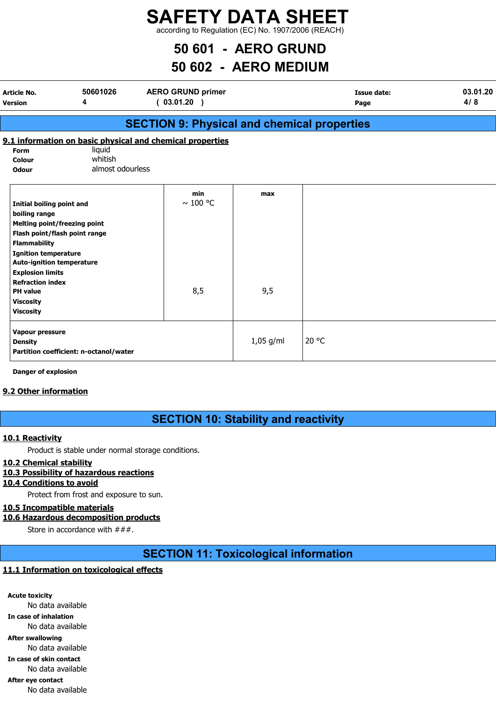according to Regulation (EC) No. 1907/2006 (REACH)

## 50 601 - AERO GRUND

## 50 602 - AERO MEDIUM

| Article No.<br><b>Version</b>                                                                                                                                            | 50601026<br>4                          | <b>AERO GRUND primer</b><br>(03.01.20)                    |             | Issue date:<br>Page | 03.01.20<br>4/8 |
|--------------------------------------------------------------------------------------------------------------------------------------------------------------------------|----------------------------------------|-----------------------------------------------------------|-------------|---------------------|-----------------|
|                                                                                                                                                                          |                                        | <b>SECTION 9: Physical and chemical properties</b>        |             |                     |                 |
|                                                                                                                                                                          |                                        | 9.1 information on basic physical and chemical properties |             |                     |                 |
| Form<br>Colour<br><b>Odour</b>                                                                                                                                           | liquid<br>whitish<br>almost odourless  |                                                           |             |                     |                 |
| Initial boiling point and<br>boiling range<br><b>Melting point/freezing point</b><br>Flash point/flash point range<br><b>Flammability</b><br><b>Ignition temperature</b> |                                        | min<br>$\sim$ 100 °C                                      | max         |                     |                 |
| <b>Auto-ignition temperature</b><br><b>Explosion limits</b><br><b>Refraction index</b><br><b>PH</b> value<br><b>Viscosity</b><br><b>Viscosity</b>                        |                                        | 8,5                                                       | 9,5         |                     |                 |
| Vapour pressure<br><b>Density</b>                                                                                                                                        | Partition coefficient: n-octanol/water |                                                           | $1,05$ g/ml | 20 °C               |                 |

Danger of explosion

### 9.2 Other information

### SECTION 10: Stability and reactivity

### 10.1 Reactivity

Product is stable under normal storage conditions.

### 10.2 Chemical stability

### 10.3 Possibility of hazardous reactions

### 10.4 Conditions to avoid

Protect from frost and exposure to sun.

### 10.5 Incompatible materials

### 10.6 Hazardous decomposition products

Store in accordance with  $\# \# \#$ .

SECTION 11: Toxicological information

### 11.1 Information on toxicological effects

Acute toxicity No data available In case of inhalation No data available After swallowing No data available In case of skin contact No data available After eye contact No data available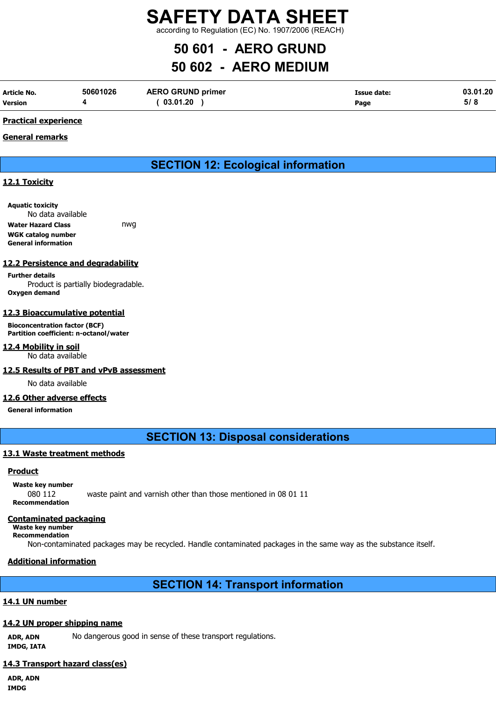according to Regulation (EC) No. 1907/2006 (REACH)

## 50 601 - AERO GRUND

## 50 602 - AERO MEDIUM

| Article No.    | 50601026 | <b>AERO GRUND primer</b> | <b>Issue date:</b> | 03.01.20 |
|----------------|----------|--------------------------|--------------------|----------|
| <b>Version</b> |          | 03.01.20                 | Page               | 5/8      |

### Practical experience

### General remarks

### SECTION 12: Ecological information

### 12.1 Toxicity

Aquatic toxicity No data available Water Hazard Class **nwg** WGK catalog number General information

### 12.2 Persistence and degradability

Further details Product is partially biodegradable. Oxygen demand

### 12.3 Bioaccumulative potential

Bioconcentration factor (BCF) Partition coefficient: n-octanol/water

### 12.4 Mobility in soil

No data available

### 12.5 Results of PBT and vPvB assessment

No data available

### 12.6 Other adverse effects

### General information

SECTION 13: Disposal considerations

### 13.1 Waste treatment methods

### Product

Waste key number 080 112 waste paint and varnish other than those mentioned in 08 01 11 Recommendation

### Contaminated packaging

Waste key number Recommendation

Non-contaminated packages may be recycled. Handle contaminated packages in the same way as the substance itself.

### Additional information

### SECTION 14: Transport information

### 14.1 UN number

### 14.2 UN proper shipping name

ADR, ADN No dangerous good in sense of these transport regulations. IMDG, IATA

### 14.3 Transport hazard class(es)

ADR, ADN IMDG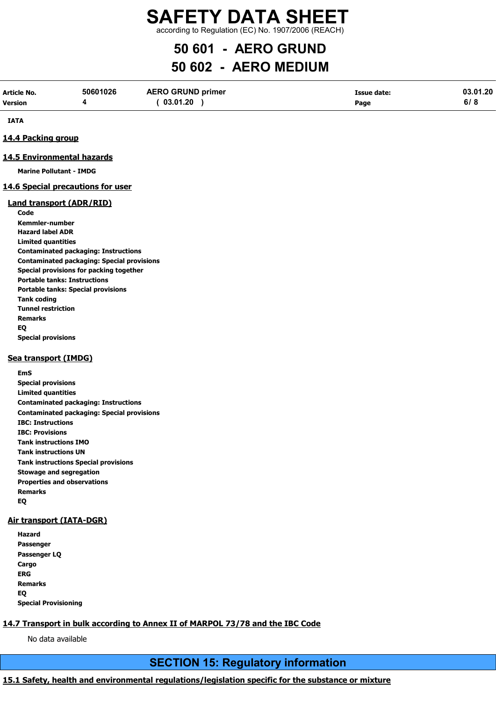according to Regulation (EC) No. 1907/2006 (REACH)

## 50 601 - AERO GRUND

## 50 602 - AERO MEDIUM

| Article No.    | 50601026 | <b>AERO GRUND primer</b> | Issue date: | 03.01.20 |
|----------------|----------|--------------------------|-------------|----------|
| <b>Version</b> |          | 03.01.20                 | Page        | 6/8      |

IATA

### 14.4 Packing group

### 14.5 Environmental hazards

Marine Pollutant - IMDG

### 14.6 Special precautions for user

### Land transport (ADR/RID)

Code Kemmler-number Hazard label ADR Limited quantities Contaminated packaging: Instructions Contaminated packaging: Special provisions Special provisions for packing together Portable tanks: Instructions Portable tanks: Special provisions Tank coding Tunnel restriction Remarks EQ Special provisions

### Sea transport (IMDG)

EmS Special provisions Limited quantities Contaminated packaging: Instructions Contaminated packaging: Special provisions IBC: Instructions IBC: Provisions Tank instructions IMO Tank instructions UN Tank instructions Special provisions Stowage and segregation Properties and observations Remarks EQ

### Air transport (IATA-DGR)

Hazard Passenger Passenger LQ Cargo ERG Remarks EQ Special Provisioning

### 14.7 Transport in bulk according to Annex II of MARPOL 73/78 and the IBC Code

No data available

### SECTION 15: Regulatory information

### 15.1 Safety, health and environmental regulations/legislation specific for the substance or mixture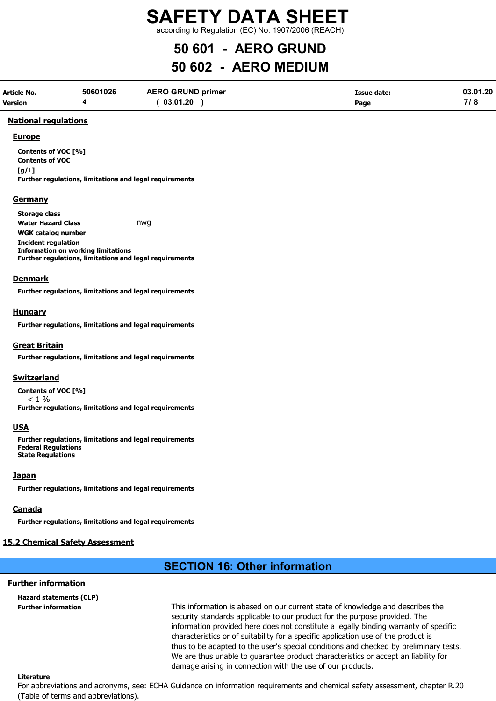according to Regulation (EC) No. 1907/2006 (REACH)

## 50 601 - AERO GRUND

## 50 602 - AERO MEDIUM

| Article No. | 50601026 | <b>AERO GRUND primer</b> | Issue date: | 03.01.20 |
|-------------|----------|--------------------------|-------------|----------|
| Version     |          | 03.01.20                 | Page        |          |

### National regulations

### **Europe**

Contents of VOC [%] Contents of VOC  $[a/L]$ Further regulations, limitations and legal requirements

### **Germany**

Storage class Water Hazard Class **nwg** WGK catalog number Incident regulation Information on working limitations Further regulations, limitations and legal requirements

### Denmark

Further regulations, limitations and legal requirements

### **Hungary**

Further regulations, limitations and legal requirements

### Great Britain

Further regulations, limitations and legal requirements

### **Switzerland**

Contents of VOC [%]  $< 1 %$ Further regulations, limitations and legal requirements

### USA

Further regulations, limitations and legal requirements Federal Regulations State Regulations

### **Japan**

Further regulations, limitations and legal requirements

### Canada

Further regulations, limitations and legal requirements

### 15.2 Chemical Safety Assessment

## SECTION 16: Other information

### Further information

Hazard statements (CLP)

Further information This information is abased on our current state of knowledge and describes the security standards applicable to our product for the purpose provided. The information provided here does not constitute a legally binding warranty of specific characteristics or of suitability for a specific application use of the product is thus to be adapted to the user's special conditions and checked by preliminary tests. We are thus unable to guarantee product characteristics or accept an liability for damage arising in connection with the use of our products.

### Literature

For abbreviations and acronyms, see: ECHA Guidance on information requirements and chemical safety assessment, chapter R.20 (Table of terms and abbreviations).